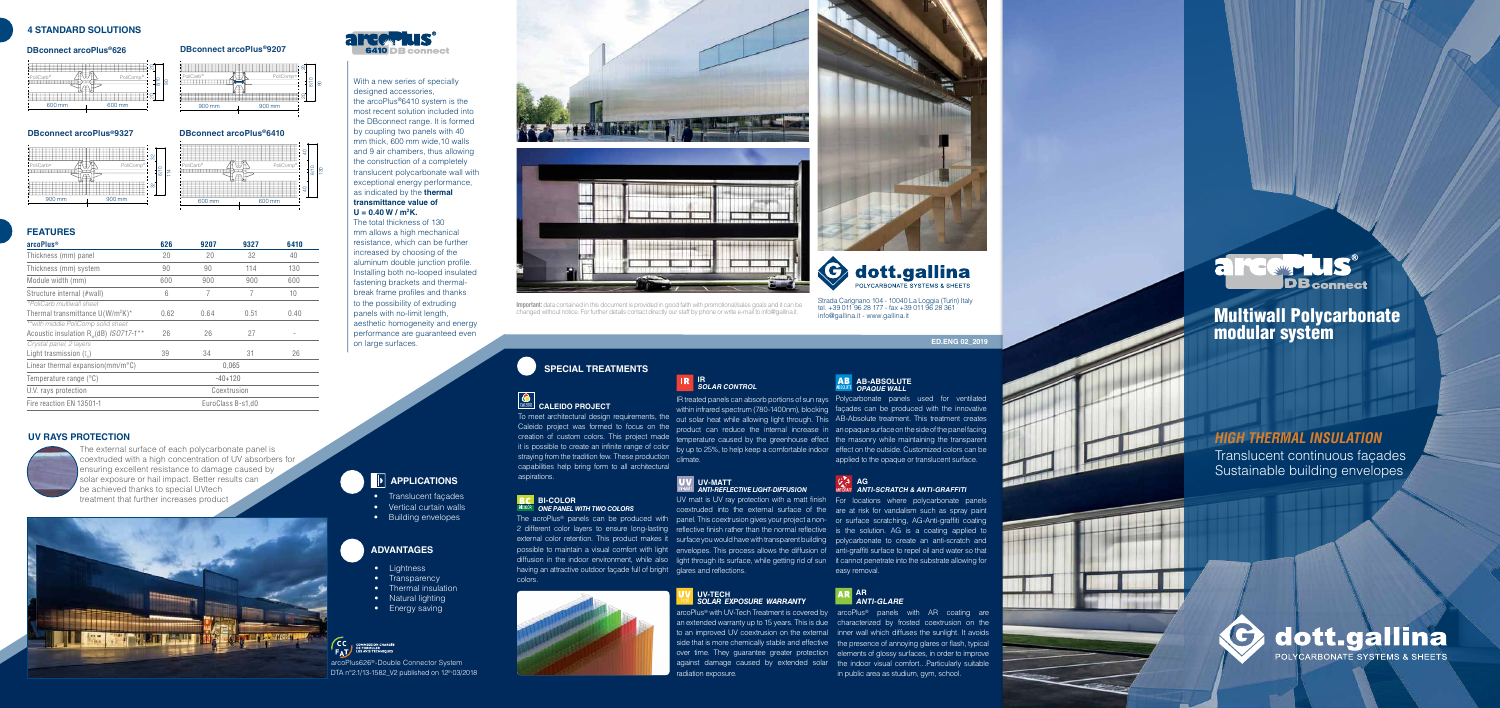8/10

ನ

ទ

## **FEATURES**

- Lightness
- Transparency
- Thermal insulation
- Natural lighting
- Energy saving



# **ADVANTAGES**

arcoPlus626 ®-Double Connector System DTA n°2.1/13-1582\_V2 published on 12<sup>th</sup> 03/2018

# **4 STANDARD SOLUTIONS**

- Translucent façades
- Vertical curtain walls
- Building envelopes

#### **DBconnect arcoPlus ®626 DBconnect arcoPlus ®9207**

### **DBconnect arcoPlus ®9327**

# **UV RAYS PROTECTION**



The external surface of each polycarbonate panel is coextruded with a high concentration of UV absorbers for ensuring excellent resistance to damage caused by solar exposure or hail impact. Better results can be achieved thanks to special UVtech treatment that further increases product





UV matt is UV ray protection with a matt finish For locations where polycarbonate panels coextruded into the external surface of the are at risk for vandalism such as spray paint The acroPlus® panels can be produced with panel. This coextrusion gives your projectanon- or surface scratching, AG-Anti-graffiti coating 2 different color layers to ensure long-lasting reflective finish rather than the normal reflective is the solution. AG is a coating applied to external color retention. This product makes it surfaceyouwouldhavewithtransparentbuilding polycarbonate to create an anti-scratch and possible to maintain a visual comfort with light envelopes. This process allows the diffusion of anti-graffiti surface to repel oil and water so that diffusion in the indoor environment, while also light through its surface, while getting rid of sun it cannot penetrate into the substrate allowing for easy removal.

### **AB-ABSOLUTE OPAQUE WALL**

## **AG** ANTIGRAFE **ANTI-SCRATCH & ANTI-GRAFFITI**

Strada Carignano 104 - 10040 La Loggia (Turin) Italy tel. +39 011 96 28 177 - fax +39 011 96 28 361 info@gallina.it - www.gallina.it

having an attractive outdoor façade full of bright glares and reflections. colors.



**Important:** data contained in this document is provided in good faith with promotional/sales goals and it can be changed without notice. For further details contact directly our staff by phone or write e-mail to info@gallina.it.

# **SPECIAL TREATMENTS**

# **CALEIDO PROJECT**

straying from the tradition few. These production climate. capabilities help bring form to all architectural aspirations.

### **BC** BI-COLOR *ONE PANEL WITH TWO COLORS*

| arcoPlus <sup>®</sup>                       | 626               | 9207 | 9327 | 6410 |
|---------------------------------------------|-------------------|------|------|------|
| Thickness (mm) panel                        | 20                | 20   | 32   | 40   |
| Thickness (mm) system                       | 90                | 90   | 114  | 130  |
| Module width (mm)                           | 600               | 900  | 900  | 600  |
| Structure internal (#wall)                  | 6                 | 7    | 7    | 10   |
| *PoliCarb multiwall sheet                   |                   |      |      |      |
| Thermal transmittance $U(W/m^2K)^*$         | 0.62              | 0.64 | 0.51 | 0.40 |
| ** with middle PoliComp solid sheet         |                   |      |      |      |
| Acoustic insulation $R_w$ (dB) ISO717-1**   | 26                | 26   | 27   |      |
| Crystal panel, 2 layers                     |                   |      |      |      |
| Light trasmission $(I_{\nu})$               | 39                | 34   | 31   | 26   |
| Linear thermal expansion( $mm/m^{\circ}C$ ) | 0.065             |      |      |      |
| Temperature range (°C)                      | $-40+120$         |      |      |      |
| U.V. rays protection                        | Coextrusion       |      |      |      |
| Fire reaction EN 13501-1                    | EuroClass B-s1.d0 |      |      |      |

# **IR SOLAR CONTROL**

IR treated panels can absorb portions of sun rays Polycarbonate panels used for ventilated

within infrared spectrum (780-1400nm), blocking façades can be produced with the innovative To meet architectural design requirements, the out solar heat while allowing light through. This AB-Absolute treatment. This treatment creates Caleido project was formed to focus on the product can reduce the internal increase in anopaque surface on the side of the panel facing creation of custom colors. This project made temperature caused by the greenhouse effect the masonry while maintaining the transparent it is possible to create an infinite range of color by up to 25%, to help keep a comfortable indoor effect on the outside. Customized colors can be applied to the opaque or translucent surface.

radiation exposure.

# **APPLICATIONS**

### **AR ANTI-GLARE**

### **UV-TECH**  *SOLAR EXPOSURE WARRANTY*



arcoPlus ® with UV-Tech Treatment is covered by arcoPlus ® panels with AR coating are an extended warranty up to 15 years. This is due characterized by frosted coextrusion on the to an improved UV coextrusion on the external inner wall which diffuses the sunlight. It avoids side that is more chemically stable and effective the presence of annoying glares or flash, typical over time. They guarantee greater protection elements of glossy surfaces, in order to improve against damage caused by extended solar the indoor visual comfort…Particularly suitable in public area as studium, gym, school.



**ED.ENG 02\_2019**

#### **UV-MATT** *ANTI-REFLECTIVE LIGHT-DIFFUSION*

PoliCarb

®

# **HIGH THERMAL INSULATION**

Translucent continuous façades Sustainable building envelopes



# Multiwall Polycarbonate modular system



600 mm 600 mm

® **A**∀UN PoliComp

8

With a new series of specially designed accessories, the arcoPlus ®6410 system is the most recent solution included into the DBconnect range. It is formed by coupling two panels with 40 mm thick, 600 mm wide,10 walls and 9 air chambers, thus allowing the construction of a completely translucent polycarbonate wall with exceptional energy performance, as indicated by the **thermal transmittance value of** 

# **U = 0.40 W / m 2 K.**

The total thickness of 130 mm allows a high mechanical resistance, which can be further increased by choosing of the aluminum double junction profile. Installing both no-looped insulated fastening brackets and thermalbreak frame profiles and thanks to the possibility of extruding panels with no-limit length, aesthetic homogeneity and energy performance are guaranteed even on large surfaces.